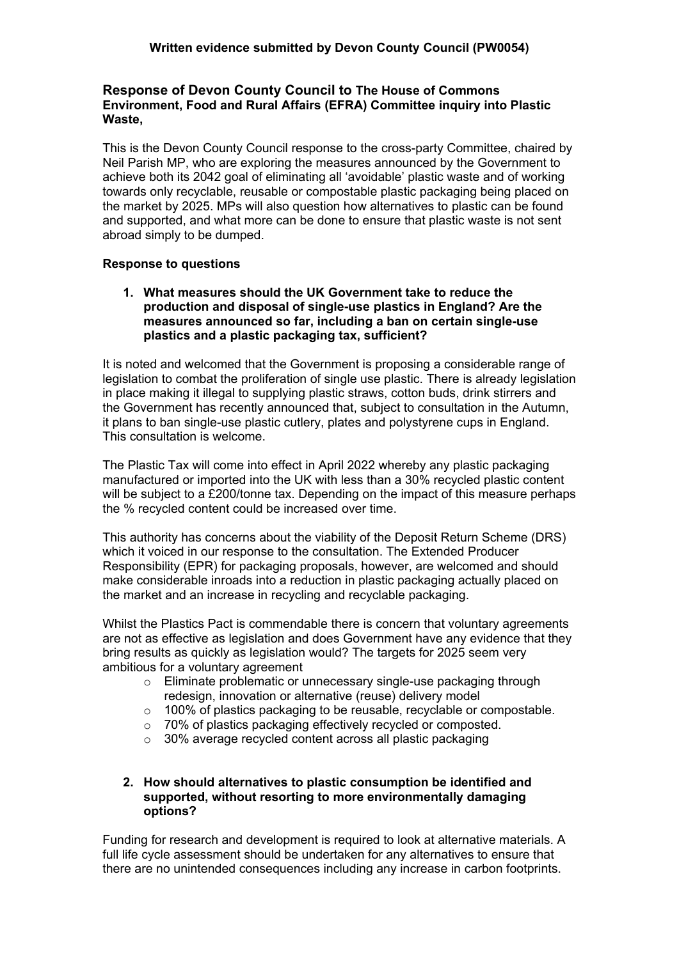## **Response of Devon County Council to The House of Commons Environment, Food and Rural Affairs (EFRA) Committee inquiry into Plastic Waste,**

This is the Devon County Council response to the cross-party Committee, chaired by Neil Parish MP, who are exploring the measures announced by the Government to achieve both its 2042 goal of eliminating all 'avoidable' plastic waste and of working towards only recyclable, reusable or compostable plastic packaging being placed on the market by 2025. MPs will also question how alternatives to plastic can be found and supported, and what more can be done to ensure that plastic waste is not sent abroad simply to be dumped.

# **Response to questions**

**1. What measures should the UK Government take to reduce the production and disposal of single-use plastics in England? Are the measures announced so far, including a ban on certain single-use plastics and a plastic packaging tax, sufficient?**

It is noted and welcomed that the Government is proposing a considerable range of legislation to combat the proliferation of single use plastic. There is already legislation in place making it illegal to supplying plastic straws, cotton buds, drink stirrers and the Government has recently announced that, subject to consultation in the Autumn, it plans to ban single-use plastic cutlery, plates and polystyrene cups in England. This consultation is welcome.

The Plastic Tax will come into effect in April 2022 whereby any plastic packaging manufactured or imported into the UK with less than a 30% recycled plastic content will be subject to a £200/tonne tax. Depending on the impact of this measure perhaps the % recycled content could be increased over time.

This authority has concerns about the viability of the Deposit Return Scheme (DRS) which it voiced in our response to the consultation. The Extended Producer Responsibility (EPR) for packaging proposals, however, are welcomed and should make considerable inroads into a reduction in plastic packaging actually placed on the market and an increase in recycling and recyclable packaging.

Whilst the Plastics Pact is commendable there is concern that voluntary agreements are not as effective as legislation and does Government have any evidence that they bring results as quickly as legislation would? The targets for 2025 seem very ambitious for a voluntary agreement

- o Eliminate problematic or unnecessary single-use packaging through redesign, innovation or alternative (reuse) delivery model
- o 100% of plastics packaging to be reusable, recyclable or compostable.
- o 70% of plastics packaging effectively recycled or composted.
- o 30% average recycled content across all plastic packaging

## **2. How should alternatives to plastic consumption be identified and supported, without resorting to more environmentally damaging options?**

Funding for research and development is required to look at alternative materials. A full life cycle assessment should be undertaken for any alternatives to ensure that there are no unintended consequences including any increase in carbon footprints.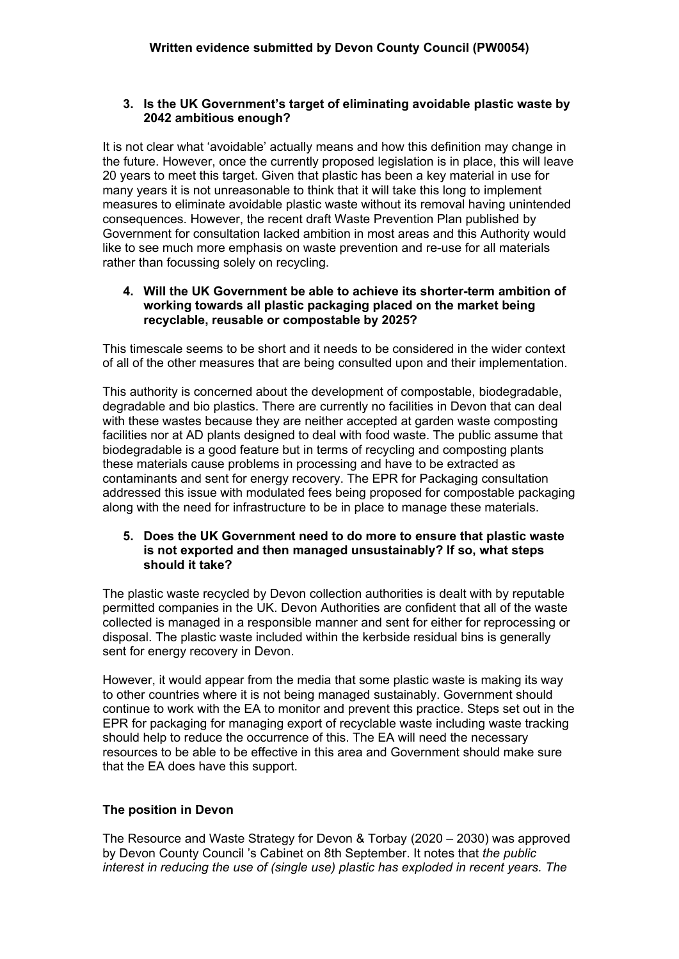### **3. Is the UK Government's target of eliminating avoidable plastic waste by 2042 ambitious enough?**

It is not clear what 'avoidable' actually means and how this definition may change in the future. However, once the currently proposed legislation is in place, this will leave 20 years to meet this target. Given that plastic has been a key material in use for many years it is not unreasonable to think that it will take this long to implement measures to eliminate avoidable plastic waste without its removal having unintended consequences. However, the recent draft Waste Prevention Plan published by Government for consultation lacked ambition in most areas and this Authority would like to see much more emphasis on waste prevention and re-use for all materials rather than focussing solely on recycling.

### **4. Will the UK Government be able to achieve its shorter-term ambition of working towards all plastic packaging placed on the market being recyclable, reusable or compostable by 2025?**

This timescale seems to be short and it needs to be considered in the wider context of all of the other measures that are being consulted upon and their implementation.

This authority is concerned about the development of compostable, biodegradable, degradable and bio plastics. There are currently no facilities in Devon that can deal with these wastes because they are neither accepted at garden waste composting facilities nor at AD plants designed to deal with food waste. The public assume that biodegradable is a good feature but in terms of recycling and composting plants these materials cause problems in processing and have to be extracted as contaminants and sent for energy recovery. The EPR for Packaging consultation addressed this issue with modulated fees being proposed for compostable packaging along with the need for infrastructure to be in place to manage these materials.

#### **5. Does the UK Government need to do more to ensure that plastic waste is not exported and then managed unsustainably? If so, what steps should it take?**

The plastic waste recycled by Devon collection authorities is dealt with by reputable permitted companies in the UK. Devon Authorities are confident that all of the waste collected is managed in a responsible manner and sent for either for reprocessing or disposal. The plastic waste included within the kerbside residual bins is generally sent for energy recovery in Devon.

However, it would appear from the media that some plastic waste is making its way to other countries where it is not being managed sustainably. Government should continue to work with the EA to monitor and prevent this practice. Steps set out in the EPR for packaging for managing export of recyclable waste including waste tracking should help to reduce the occurrence of this. The EA will need the necessary resources to be able to be effective in this area and Government should make sure that the EA does have this support.

## **The position in Devon**

The Resource and Waste Strategy for Devon & Torbay (2020 – 2030) was approved by Devon County Council 's Cabinet on 8th September. It notes that *the public interest in reducing the use of (single use) plastic has exploded in recent years. The*